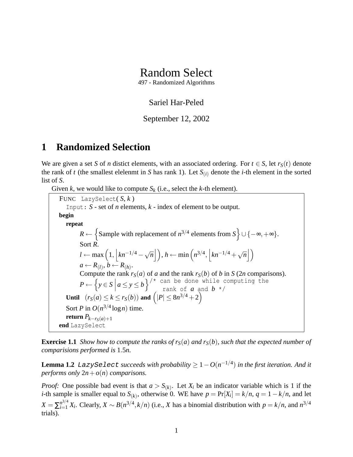# Random Select

497 - Randomized Algorithms

### Sariel Har-Peled

#### September 12, 2002

## **1 Randomized Selection**

We are given a set *S* of *n* distict elements, with an associated ordering. For  $t \in S$ , let  $r_S(t)$  denote the rank of *t* (the smallest elelenmt in *S* has rank 1). Let  $S(i)$  denote the *i*-th element in the sorted list of *S*.

Given *k*, we would like to compute  $S_k$  (i.e., select the *k*-th element).

FUNC LazySelect( *S*, *k* ) Input: *S* - set of *n* elements, *k* - index of element to be output. **begin repeat**  $R \leftarrow \{$  Sample with replacement of  $n^{3/4}$  elements from  $S \cup \{-\infty, +\infty\}.$ Sort *R*. *l* ← max  $\left(1, \frac{\kappa}{1}h^{-1/4} - \sqrt{\frac{\kappa^2}{h^2}}\right)$  $\sqrt{n}$ |  $\Big\}, h \leftarrow \min\left(n^{3/4}, \Big| kn^{-1/4} + \sqrt{n} \Big| \right)$  $\overline{n}$ |  $\big)$  $a \leftarrow R_{(l)}, b \leftarrow R_{(h)}.$ Compute the rank  $r_S(a)$  of *a* and the rank  $r_S(b)$  of *b* in *S* (2*n* comparisons).  $P \leftarrow \left\{ y \in S \mid$  $a \le y \le b$ <sup>'\*</sup> can be done while computing the rank of  $a$  and  $b \star$ / **Until**  $(r_S(a) \le k \le r_S(b))$  and  $(|P| \le 8n^{3/4} + 2)$ Sort *P* in  $O(n^{3/4} \log n)$  time. **return**  $P_{k-r<sub>s</sub>(a)+1}$ **end** LazySelect

**Exercise 1.1** *Show how to compute the ranks of*  $r_S(a)$  *and*  $r_S(b)$ *, such that the expected number of comparisions performed is* 1.5*n.*

 $\tt Lemma 1.2$  LazySe lect succeeds with probability  $\geq 1 - O(n^{-1/4})$  in the first iteration. And it *performs only*  $2n + o(n)$  *comparisons.* 

*Proof:* One possible bad event is that  $a > S_{(k)}$ . Let  $X_i$  be an indicator variable which is 1 if the *i*-th sample is smaller equal to  $S_{(k)}$ , otherwise 0. WE have  $p = Pr[X_i] = k/n$ ,  $q = 1 - k/n$ , and let  $X = \sum_{i=1}^{n^{3/4}} X_i$ . Clearly,  $X \sim B(n^{3/4}, k/n)$  (i.e., *X* has a binomial distribution with  $p = k/n$ , and  $n^{3/4}$ trials).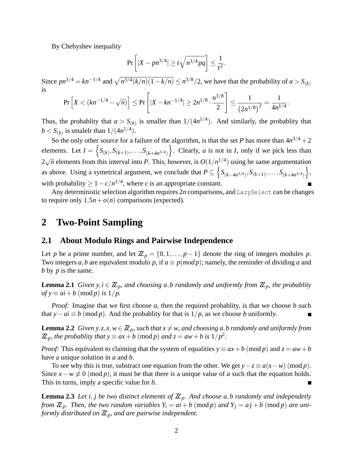By Chebyshev inequality

$$
\Pr\left[|X - pn^{3/4}| \ge t\sqrt{n^{3/4}pq}\right] \le \frac{1}{t^2}.
$$

Since  $pn^{3/4} = kn^{-1/4}$  and  $\sqrt{n^{3/4}(k/n)(1-k/n)} \le n^{3/8}/2$ , we have that the probability of  $a > S_{(k)}$ is

$$
\Pr\left[X < (kn^{-1/4} - \sqrt{n})\right] \le \Pr\left[|X - kn^{-1/4}| \ge 2n^{1/8} \cdot \frac{n^{3/8}}{2}\right] \le \frac{1}{\left(2n^{1/8}\right)^2} = \frac{1}{4n^{1/4}}
$$

.

Thus, the probablity that  $a > S_{(k)}$  is smaller than  $1/(4n^{1/4})$ . And similarly, the probablity that  $b < S_{(k)}$  is smalelr than  $1/(4n^{1/4})$ .

So the only other source for a failure of the algorithm, is that the set *P* has more than  $4n^{3/4} + 2$ elements. Let  $I = \left\{ S_{(k)}, S_{(k+1)}, \ldots, S_{(k+4n^{3/4})} \right\}$ . Clearly, *a* is not in *I*, only if we pick less than 2 √  $\overline{n}$  elements from this interval into *P*. This, however, is  $O(1/n^{1/4})$  using he same argumentation as above. Using a symetrical argument, we conclude that  $P \subseteq \left\{ S_{(k-4n^{3/4})}, S_{(k+1)}, \ldots, S_{(k+4n^{3/4})} \right\},$ with probability  $\geq 1 - c/n^{1/4}$ , where *c* is an appropriate constant.

Any deterministic selection algorithm requires 2n comparisons, and LazySelect can be changes to require only  $1.5n + o(n)$  comparisons (expected).

### **2 Two-Point Sampling**

#### **2.1 About Modulo Rings and Pairwise Independence**

Let *p* be a prime number, and let  $\mathbb{Z}_p = \{0, 1, \ldots, p-1\}$  denote the ring of integers modules *p*. Two integers *a*,*b* are equivalent modulo *p*, if  $a \equiv p (mod p)$ ; namely, the reminder of dividing *a* and *b* by *p* is the same.

**Lemma 2.1** *Given y,i*  $\in \mathbb{Z}_p$ *, and choosing a,b randomly and uniformly from*  $\mathbb{Z}_p$ *, the probablity*  $of y \equiv ai + b \pmod{p}$  *is*  $1/p$ .

*Proof:* Imagine that we first choose *a*, then the required probablity, is that we choose *b* such that *y*−*ai* ≡ *b* (mod *p*). And the probablity for that is  $1/p$ , as we choose *b* uniformly.

**Lemma 2.2** *Given y,z,x,w*  $\in \mathbb{Z}_p$ *, such that x*  $\neq$  *w, and choosing a,b randomly and uniformly from*  $\mathbb{Z}_p$ *, the probablity that y*  $\equiv ax + b \pmod{p}$  *and*  $z = aw + b$  *is*  $1/p^2$ *.* 

*Proof:* This equivalent to claiming that the system of equalities  $y \equiv ax + b \pmod{p}$  and  $z = aw + b$ have a unique solution in *a* and *b*.

To see why this is true, substract one equation from the other. We get  $y-z \equiv a(x-w) \pmod{p}$ . Since  $x - w \not\equiv 0 \pmod{p}$ , it must be that there is a unique value of *a* such that the equation holds. This in turns, imply a specific value for *b*.

**Lemma 2.3** Let *i*, *j* be two distinct elements of  $\mathbb{Z}_p$ . And choose a,b randomly and independetly *from*  $\mathbb{Z}_p$ *. Then, the two random variables*  $Y_i = ai + b \pmod{p}$  *and*  $Y_j = aj + b \pmod{p}$  *are uniformly distributed on*  $\mathbb{Z}_p$ *, and are pairwise independent.*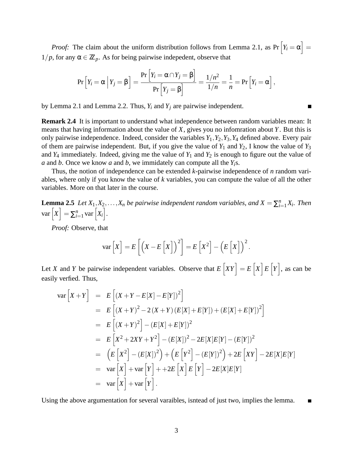*Proof:* The claim about the uniform distribution follows from Lemma 2.1, as  $Pr\left[Y_i = \alpha\right] =$  $1/p$ , for any  $\alpha \in \mathbb{Z}_p$ . As for being pairwise indepedent, observe that

$$
\Pr\left[Y_i = \alpha \mid Y_j = \beta\right] = \frac{\Pr\left[Y_i = \alpha \cap Y_j = \beta\right]}{\Pr\left[Y_j = \beta\right]} = \frac{1/n^2}{1/n} = \frac{1}{n} = \Pr\left[Y_i = \alpha\right],
$$

by Lemma 2.1 and Lemma 2.2. Thus, *Y<sup>i</sup>* and *Y<sup>j</sup>* are pairwise independent.

**Remark 2.4** It is important to understand what independence between random variables mean: It means that having information about the value of *X*, gives you no infomration about *Y*. But this is only pairwise independence. Indeed, consider the variables  $Y_1, Y_2, Y_3, Y_4$  defined above. Every pair of them are pairwise independent. But, if you give the value of  $Y_1$  and  $Y_2$ , I know the value of  $Y_3$ and  $Y_4$  immediately. Indeed, giving me the value of  $Y_1$  and  $Y_2$  is enough to figure out the value of *a* and *b*. Once we know *a* and *b*, we immidately can compute all the *Yi*s.

Thus, the notion of independence can be extended *k*-pairwise independence of *n* random variables, where only if you know the value of *k* variables, you can compute the value of all the other variables. More on that later in the course.

**Lemma 2.5** *Let*  $X_1, X_2, \ldots, X_n$  *be pairwise independent random variables, and*  $X = \sum_{i=1}^n X_i$ *. Then*  $var[X] = \sum_{i=1}^{n} var[X_i].$ 

*Proof:* Observe, that

$$
\text{var}\left[X\right] = E\left[\left(X - E\left[X\right]\right)^{2}\right] = E\left[X^{2}\right] - \left(E\left[X\right]\right)^{2}.
$$

Let *X* and *Y* be pairwise independent variables. Observe that  $E[XY] = E[X]E[Y]$ , as can be easily verfied. Thus,

$$
\begin{array}{rcl}\n\text{var}\left[X+Y\right] & = & E\left[(X+Y-E[X]-E[Y])^{2}\right] \\
& = & E\left[(X+Y)^{2}-2(X+Y)(E[X]+E[Y])+(E[X]+E[Y])^{2}\right] \\
& = & E\left[(X+Y)^{2}\right]-(E[X]+E[Y])^{2} \\
& = & E\left[X^{2}+2XY+Y^{2}\right]-(E[X])^{2}-2E[X]E[Y]-(E[Y])^{2} \\
& = & \left(E\left[X^{2}\right]-(E[X])^{2}\right)+\left(E\left[Y^{2}\right]-(E[Y])^{2}\right)+2E\left[XY\right]-2E[X]E[Y] \\
& = & \text{var}\left[X\right]+\text{var}\left[Y\right]+\text{+}2E\left[X\right]E\left[Y\right]-2E[X]E[Y] \\
& = & \text{var}\left[X\right]+\text{var}\left[Y\right].\n\end{array}
$$

Using the above argumentation for several varaibles, isntead of just two, implies the lemma. П